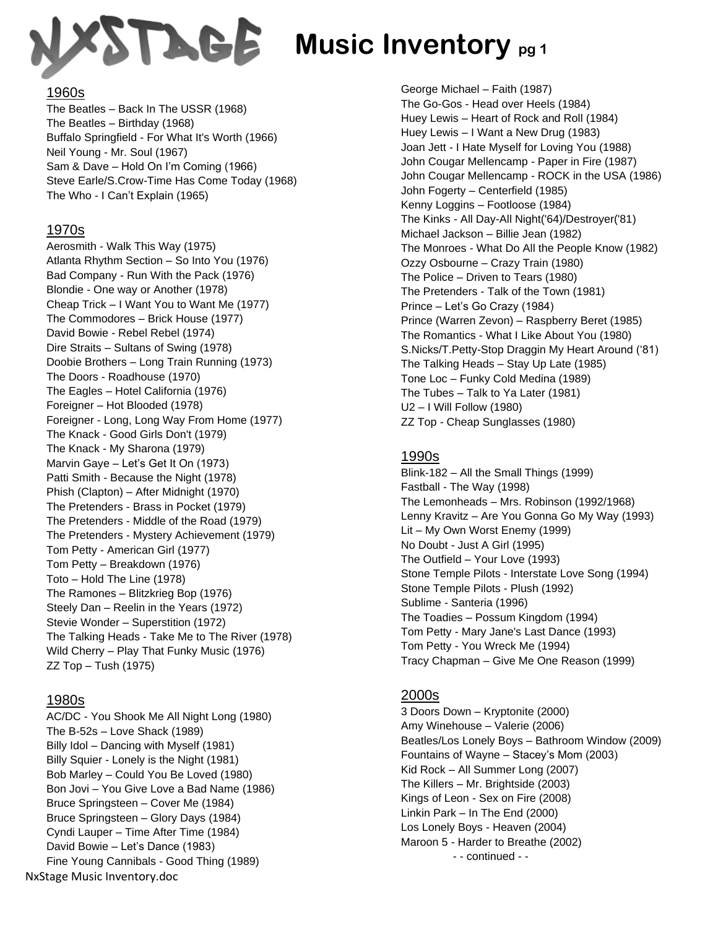

### 1960s

The Beatles – Back In The USSR (1968) The Beatles – Birthday (1968) Buffalo Springfield - For What It's Worth (1966) Neil Young - Mr. Soul (1967) Sam & Dave – Hold On I'm Coming (1966) Steve Earle/S.Crow-Time Has Come Today (1968) The Who - I Can't Explain (1965)

### 1970s

Aerosmith - Walk This Way (1975) Atlanta Rhythm Section – So Into You (1976) Bad Company - Run With the Pack (1976) Blondie - One way or Another (1978) Cheap Trick – I Want You to Want Me (1977) The Commodores – Brick House (1977) David Bowie - Rebel Rebel (1974) Dire Straits – Sultans of Swing (1978) Doobie Brothers – Long Train Running (1973) The Doors - Roadhouse (1970) The Eagles – Hotel California (1976) Foreigner – Hot Blooded (1978) Foreigner - Long, Long Way From Home (1977) The Knack - Good Girls Don't (1979) The Knack - My Sharona (1979) Marvin Gaye – Let's Get It On (1973) Patti Smith - Because the Night (1978) Phish (Clapton) – After Midnight (1970) The Pretenders - Brass in Pocket (1979) The Pretenders - Middle of the Road (1979) The Pretenders - Mystery Achievement (1979) Tom Petty - American Girl (1977) Tom Petty – Breakdown (1976) Toto – Hold The Line (1978) The Ramones – Blitzkrieg Bop (1976) Steely Dan – Reelin in the Years (1972) Stevie Wonder – Superstition (1972) The Talking Heads - Take Me to The River (1978) Wild Cherry – Play That Funky Music (1976) ZZ Top – Tush (1975)

## 1980s

NxStage Music Inventory.doc AC/DC - You Shook Me All Night Long (1980) The B-52s – Love Shack (1989) Billy Idol – Dancing with Myself (1981) Billy Squier - Lonely is the Night (1981) Bob Marley – Could You Be Loved (1980) Bon Jovi – You Give Love a Bad Name (1986) Bruce Springsteen – Cover Me (1984) Bruce Springsteen – Glory Days (1984) Cyndi Lauper – Time After Time (1984) David Bowie – Let's Dance (1983) Fine Young Cannibals - Good Thing (1989)

George Michael – Faith (1987) The Go-Gos - Head over Heels (1984) Huey Lewis – Heart of Rock and Roll (1984) Huey Lewis – I Want a New Drug (1983) Joan Jett - I Hate Myself for Loving You (1988) John Cougar Mellencamp - Paper in Fire (1987) John Cougar Mellencamp - ROCK in the USA (1986) John Fogerty – Centerfield (1985) Kenny Loggins – Footloose (1984) The Kinks - All Day-All Night('64)/Destroyer('81) Michael Jackson – Billie Jean (1982) The Monroes - What Do All the People Know (1982) Ozzy Osbourne – Crazy Train (1980) The Police – Driven to Tears (1980) The Pretenders - Talk of the Town (1981) Prince – Let's Go Crazy (1984) Prince (Warren Zevon) – Raspberry Beret (1985) The Romantics - What I Like About You (1980) S.Nicks/T.Petty-Stop Draggin My Heart Around ('81) The Talking Heads – Stay Up Late (1985) Tone Loc – Funky Cold Medina (1989) The Tubes – Talk to Ya Later (1981) U2 – I Will Follow (1980) ZZ Top - Cheap Sunglasses (1980)

# 1990s

Blink-182 – All the Small Things (1999) Fastball - The Way (1998) The Lemonheads – Mrs. Robinson (1992/1968) Lenny Kravitz – Are You Gonna Go My Way (1993) Lit – My Own Worst Enemy (1999) No Doubt - Just A Girl (1995) The Outfield – Your Love (1993) Stone Temple Pilots - Interstate Love Song (1994) Stone Temple Pilots - Plush (1992) Sublime - Santeria (1996) The Toadies – Possum Kingdom (1994) Tom Petty - Mary Jane's Last Dance (1993) Tom Petty - You Wreck Me (1994) Tracy Chapman – Give Me One Reason (1999)

# 2000s

3 Doors Down – Kryptonite (2000) Amy Winehouse – Valerie (2006) Beatles/Los Lonely Boys – Bathroom Window (2009) Fountains of Wayne – Stacey's Mom (2003) Kid Rock – All Summer Long (2007) The Killers – Mr. Brightside (2003) Kings of Leon - Sex on Fire (2008) Linkin Park – In The End (2000) Los Lonely Boys - Heaven (2004) Maroon 5 - Harder to Breathe (2002) - - continued - -